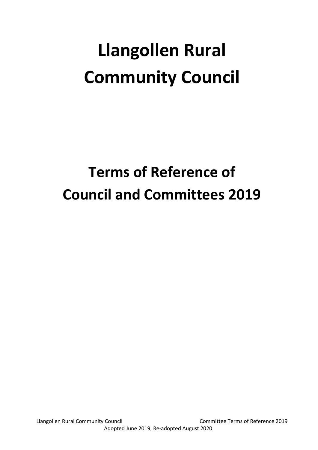# **Llangollen Rural Community Council**

# **Terms of Reference of Council and Committees 2019**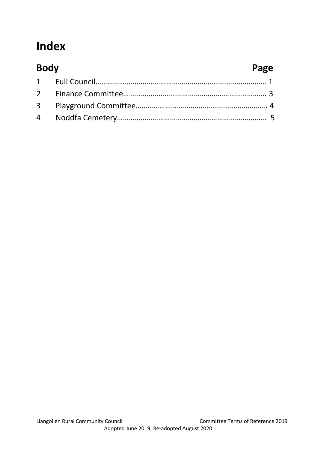# **Index**

| <b>Body</b> | Page |
|-------------|------|
|             |      |
|             |      |
|             |      |
|             |      |
|             |      |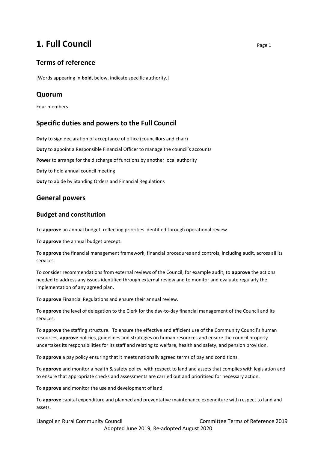# **1. Full Council** Page 1

# **Terms of reference**

[Words appearing in **bold,** below, indicate specific authority.]

# **Quorum**

Four members

# **Specific duties and powers to the Full Council**

**Duty** to sign declaration of acceptance of office (councillors and chair) **Duty** to appoint a Responsible Financial Officer to manage the council's accounts **Power** to arrange for the discharge of functions by another local authority **Duty** to hold annual council meeting **Duty** to abide by Standing Orders and Financial Regulations

# **General powers**

#### **Budget and constitution**

To **approve** an annual budget, reflecting priorities identified through operational review.

To **approve** the annual budget precept.

To **approve** the financial management framework, financial procedures and controls, including audit, across all its services.

To consider recommendations from external reviews of the Council, for example audit, to **approve** the actions needed to address any issues identified through external review and to monitor and evaluate regularly the implementation of any agreed plan.

To **approve** Financial Regulations and ensure their annual review.

To **approve** the level of delegation to the Clerk for the day-to-day financial management of the Council and its services.

To **approve** the staffing structure. To ensure the effective and efficient use of the Community Council's human resources, **approve** policies, guidelines and strategies on human resources and ensure the council properly undertakes its responsibilities for its staff and relating to welfare, health and safety, and pension provision.

To **approve** a pay policy ensuring that it meets nationally agreed terms of pay and conditions.

To **approve** and monitor a health & safety policy, with respect to land and assets that complies with legislation and to ensure that appropriate checks and assessments are carried out and prioritised for necessary action.

To **approve** and monitor the use and development of land.

To **approve** capital expenditure and planned and preventative maintenance expenditure with respect to land and assets.

Llangollen Rural Community Council Committee Terms of Reference 2019 Adopted June 2019, Re-adopted August 2020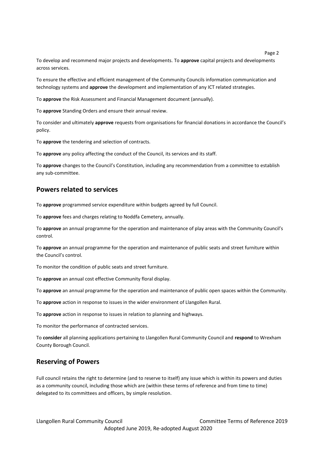To develop and recommend major projects and developments. To **approve** capital projects and developments across services.

To ensure the effective and efficient management of the Community Councils information communication and technology systems and **approve** the development and implementation of any ICT related strategies.

To **approve** the Risk Assessment and Financial Management document (annually).

To **approve** Standing Orders and ensure their annual review.

To consider and ultimately **approve** requests from organisations for financial donations in accordance the Council's policy.

To **approve** the tendering and selection of contracts.

To **approve** any policy affecting the conduct of the Council, its services and its staff.

To **approve** changes to the Council's Constitution, including any recommendation from a committee to establish any sub-committee.

#### **Powers related to services**

To **approve** programmed service expenditure within budgets agreed by full Council.

To **approve** fees and charges relating to Noddfa Cemetery, annually.

To **approve** an annual programme for the operation and maintenance of play areas with the Community Council's control.

To **approve** an annual programme for the operation and maintenance of public seats and street furniture within the Council's control.

To monitor the condition of public seats and street furniture.

To **approve** an annual cost effective Community floral display.

To **approve** an annual programme for the operation and maintenance of public open spaces within the Community.

To **approve** action in response to issues in the wider environment of Llangollen Rural.

To **approve** action in response to issues in relation to planning and highways.

To monitor the performance of contracted services.

To **consider** all planning applications pertaining to Llangollen Rural Community Council and **respond** to Wrexham County Borough Council.

#### **Reserving of Powers**

Full council retains the right to determine (and to reserve to itself) any issue which is within its powers and duties as a community council, including those which are (within these terms of reference and from time to time) delegated to its committees and officers, by simple resolution.

Page 2 and the state of the state of the state of the state of the state of the state of the state of the state of the state of the state of the state of the state of the state of the state of the state of the state of the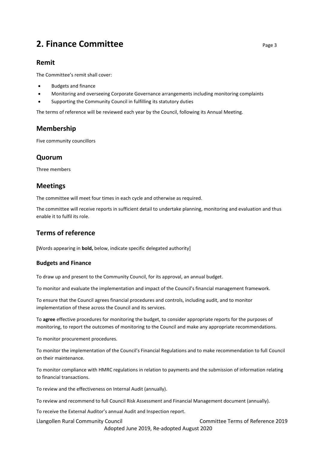# **2. Finance Committee** <br> **2. Finance Committee**

### **Remit**

The Committee's remit shall cover:

- Budgets and finance
- Monitoring and overseeing Corporate Governance arrangements including monitoring complaints
- Supporting the Community Council in fulfilling its statutory duties

The terms of reference will be reviewed each year by the Council, following its Annual Meeting.

# **Membership**

Five community councillors

# **Quorum**

Three members

# **Meetings**

The committee will meet four times in each cycle and otherwise as required.

The committee will receive reports in sufficient detail to undertake planning, monitoring and evaluation and thus enable it to fulfil its role.

# **Terms of reference**

**[**Words appearing in **bold,** below, indicate specific delegated authority]

#### **Budgets and Finance**

To draw up and present to the Community Council, for its approval, an annual budget.

To monitor and evaluate the implementation and impact of the Council's financial management framework.

To ensure that the Council agrees financial procedures and controls, including audit, and to monitor implementation of these across the Council and its services.

To **agree** effective procedures for monitoring the budget, to consider appropriate reports for the purposes of monitoring, to report the outcomes of monitoring to the Council and make any appropriate recommendations.

To monitor procurement procedures.

To monitor the implementation of the Council's Financial Regulations and to make recommendation to full Council on their maintenance.

To monitor compliance with HMRC regulations in relation to payments and the submission of information relating to financial transactions.

To review and the effectiveness on Internal Audit (annually).

To review and recommend to full Council Risk Assessment and Financial Management document (annually).

To receive the External Auditor's annual Audit and Inspection report.

Llangollen Rural Community Council Committee Terms of Reference 2019 Adopted June 2019, Re-adopted August 2020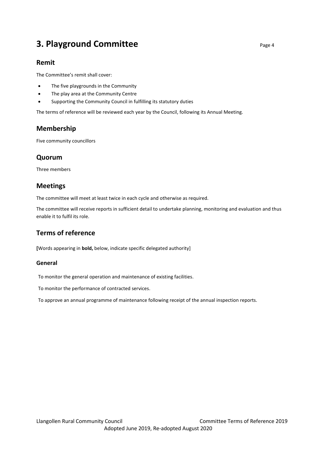# **3. Playground Committee** <br>Page 4

# **Remit**

The Committee's remit shall cover:

- The five playgrounds in the Community
- The play area at the Community Centre
- Supporting the Community Council in fulfilling its statutory duties

The terms of reference will be reviewed each year by the Council, following its Annual Meeting.

# **Membership**

Five community councillors

# **Quorum**

Three members

# **Meetings**

The committee will meet at least twice in each cycle and otherwise as required.

The committee will receive reports in sufficient detail to undertake planning, monitoring and evaluation and thus enable it to fulfil its role.

# **Terms of reference**

**[**Words appearing in **bold,** below, indicate specific delegated authority]

#### **General**

To monitor the general operation and maintenance of existing facilities.

To monitor the performance of contracted services.

To approve an annual programme of maintenance following receipt of the annual inspection reports.